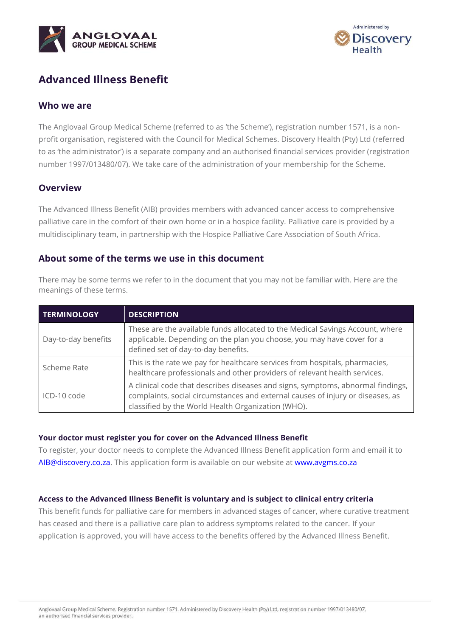



# **Advanced Illness Benefit**

# **Who we are**

The Anglovaal Group Medical Scheme (referred to as 'the Scheme'), registration number 1571, is a nonprofit organisation, registered with the Council for Medical Schemes. Discovery Health (Pty) Ltd (referred to as 'the administrator') is a separate company and an authorised financial services provider (registration number 1997/013480/07). We take care of the administration of your membership for the Scheme.

# **Overview**

The Advanced Illness Benefit (AIB) provides members with advanced cancer access to comprehensive palliative care in the comfort of their own home or in a hospice facility. Palliative care is provided by a multidisciplinary team, in partnership with the Hospice Palliative Care Association of South Africa.

### **About some of the terms we use in this document**

There may be some terms we refer to in the document that you may not be familiar with. Here are the meanings of these terms.

| <b>TERMINOLOGY</b>  | <b>DESCRIPTION</b>                                                                                                                                                                                                      |
|---------------------|-------------------------------------------------------------------------------------------------------------------------------------------------------------------------------------------------------------------------|
| Day-to-day benefits | These are the available funds allocated to the Medical Savings Account, where<br>applicable. Depending on the plan you choose, you may have cover for a<br>defined set of day-to-day benefits.                          |
| Scheme Rate         | This is the rate we pay for healthcare services from hospitals, pharmacies,<br>healthcare professionals and other providers of relevant health services.                                                                |
| ICD-10 code         | A clinical code that describes diseases and signs, symptoms, abnormal findings,<br>complaints, social circumstances and external causes of injury or diseases, as<br>classified by the World Health Organization (WHO). |

#### **Your doctor must register you for cover on the Advanced Illness Benefit**

To register, your doctor needs to complete the Advanced Illness Benefit application form and email it to [AIB@discovery.co.za.](mailto:AIB@discovery.co.za) This application form is available on our website at [www.avgms.co.za](http://www.avgms.co.za/)

#### **Access to the Advanced Illness Benefit is voluntary and is subject to clinical entry criteria**

This benefit funds for palliative care for members in advanced stages of cancer, where curative treatment has ceased and there is a palliative care plan to address symptoms related to the cancer. If your application is approved, you will have access to the benefits offered by the Advanced Illness Benefit.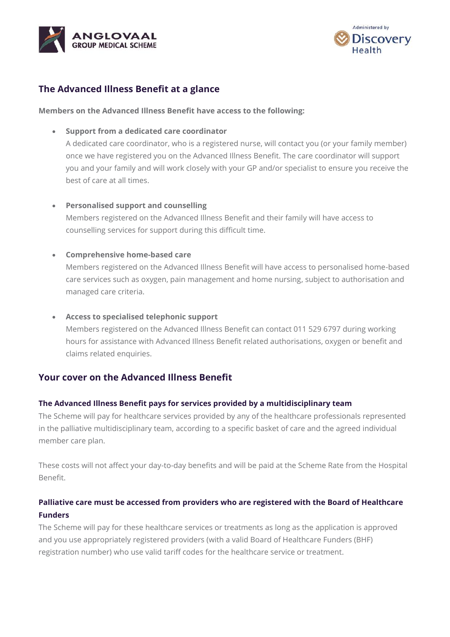



# **The Advanced Illness Benefit at a glance**

#### **Members on the Advanced Illness Benefit have access to the following:**

• **Support from a dedicated care coordinator**

A dedicated care coordinator, who is a registered nurse, will contact you (or your family member) once we have registered you on the Advanced Illness Benefit. The care coordinator will support you and your family and will work closely with your GP and/or specialist to ensure you receive the best of care at all times.

#### • **Personalised support and counselling**

Members registered on the Advanced Illness Benefit and their family will have access to counselling services for support during this difficult time.

#### • **Comprehensive home-based care**

Members registered on the Advanced Illness Benefit will have access to personalised home-based care services such as oxygen, pain management and home nursing, subject to authorisation and managed care criteria.

#### • **Access to specialised telephonic support**

Members registered on the Advanced Illness Benefit can contact 011 529 6797 during working hours for assistance with Advanced Illness Benefit related authorisations, oxygen or benefit and claims related enquiries.

# **Your cover on the Advanced Illness Benefit**

#### **The Advanced Illness Benefit pays for services provided by a multidisciplinary team**

The Scheme will pay for healthcare services provided by any of the healthcare professionals represented in the palliative multidisciplinary team, according to a specific basket of care and the agreed individual member care plan.

These costs will not affect your day-to-day benefits and will be paid at the Scheme Rate from the Hospital Benefit.

# **Palliative care must be accessed from providers who are registered with the Board of Healthcare Funders**

The Scheme will pay for these healthcare services or treatments as long as the application is approved and you use appropriately registered providers (with a valid Board of Healthcare Funders (BHF) registration number) who use valid tariff codes for the healthcare service or treatment.